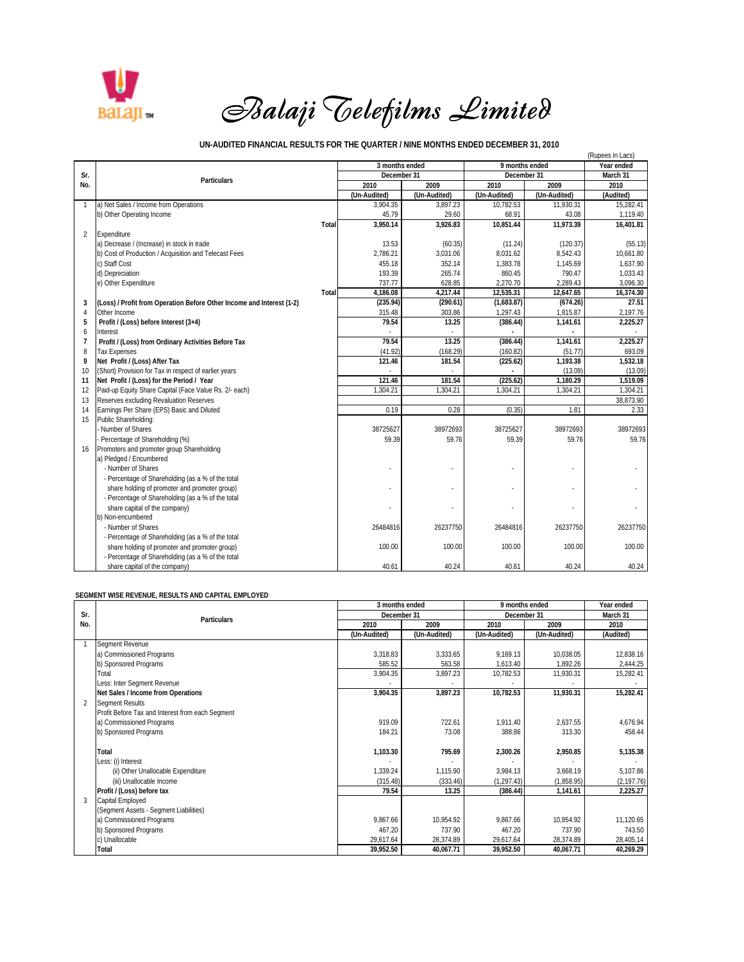

 *Balaji Telefilms Limited*

## **UN-AUDITED FINANCIAL RESULTS FOR THE QUARTER / NINE MONTHS ENDED DECEMBER 31, 2010**

|                |                                                                       |       |                |              |                |              | (Rupees in Lacs) |
|----------------|-----------------------------------------------------------------------|-------|----------------|--------------|----------------|--------------|------------------|
|                |                                                                       |       | 3 months ended |              | 9 months ended |              | Year ended       |
| Sr.            | Particulars                                                           |       | December 31    |              | December 31    |              | March 31         |
| No.            |                                                                       |       | 2010           | 2009         | 2010           | 2009         | 2010             |
|                |                                                                       |       | (Un-Audited)   | (Un-Audited) | (Un-Audited)   | (Un-Audited) | (Audited)        |
| $\mathbf{1}$   | a) Net Sales / Income from Operations                                 |       | 3.904.35       | 3,897.23     | 10,782.53      | 11,930.31    | 15.282.41        |
|                | b) Other Operating Income                                             |       | 45.79          | 29.60        | 68.91          | 43.08        | 1,119.40         |
|                |                                                                       | Total | 3,950.14       | 3,926.83     | 10.851.44      | 11.973.39    | 16,401.81        |
| $\overline{2}$ | Expenditure                                                           |       |                |              |                |              |                  |
|                | a) Decrease / (Increase) in stock in trade                            |       | 13.53          | (60.35)      | (11.24)        | (120.37)     | (55.13)          |
|                | b) Cost of Production / Acquisition and Telecast Fees                 |       | 2,786.21       | 3,031.06     | 8,031.62       | 8,542.43     | 10,661.80        |
|                | c) Staff Cost                                                         |       | 455.18         | 352.14       | 1,383.78       | 1,145.69     | 1,637.90         |
|                | d) Depreciation                                                       |       | 193.39         | 265.74       | 860.45         | 790.47       | 1.033.43         |
|                | e) Other Expenditure                                                  |       | 737.77         | 628.85       | 2,270.70       | 2,289.43     | 3,096.30         |
|                |                                                                       | Total | 4,186.08       | 4,217.44     | 12,535.31      | 12.647.65    | 16,374.30        |
| 3              | (Loss) / Profit from Operation Before Other Income and Interest (1-2) |       | (235.94)       | (290.61)     | (1,683.87)     | (674.26)     | 27.51            |
| 4              | Other Income                                                          |       | 315.48         | 303.86       | 1,297.43       | 1,815.87     | 2,197.76         |
| 5              | Profit / (Loss) before Interest (3+4)                                 |       | 79.54          | 13.25        | (386.44)       | 1.141.61     | 2,225.27         |
| 6              | Interest                                                              |       | ×,             |              |                | ٠            | $\sim$           |
| $\overline{7}$ | Profit / (Loss) from Ordinary Activities Before Tax                   |       | 79.54          | 13.25        | (386.44)       | 1,141.61     | 2,225.27         |
| 8              | <b>Tax Expenses</b>                                                   |       | (41.92)        | (168.29)     | (160.82)       | (51.77)      | 693.09           |
| 9              | Net Profit / (Loss) After Tax                                         |       | 121.46         | 181.54       | (225.62)       | 1.193.38     | 1.532.18         |
| 10             | (Short) Provision for Tax in respect of earlier years                 |       |                |              |                | (13.09)      | (13.09)          |
| 11             | Net Profit / (Loss) for the Period / Year                             |       | 121.46         | 181.54       | (225.62)       | 1,180.29     | 1,519.09         |
| 12             | Paid-up Equity Share Capital (Face Value Rs. 2/- each)                |       | 1.304.21       | 1.304.21     | 1.304.21       | 1,304.21     | 1,304.21         |
| 13             | Reserves excluding Revaluation Reserves                               |       |                |              |                |              | 38.873.90        |
| 14             | Earnings Per Share (EPS) Basic and Diluted                            |       | 0.19           | 0.28         | (0.35)         | 1.81         | 2.33             |
| 15             | Public Shareholding:                                                  |       |                |              |                |              |                  |
|                | Number of Shares                                                      |       | 38725627       | 38972693     | 38725627       | 38972693     | 38972693         |
|                | Percentage of Shareholding (%)                                        |       | 59.39          | 59.76        | 59.39          | 59.76        | 59.76            |
| 16             | Promoters and promoter group Shareholding                             |       |                |              |                |              |                  |
|                | a) Pledged / Encumbered                                               |       |                |              |                |              |                  |
|                | - Number of Shares                                                    |       |                |              |                |              |                  |
|                | - Percentage of Shareholding (as a % of the total                     |       |                |              |                |              |                  |
|                | share holding of promoter and promoter group)                         |       |                |              |                |              |                  |
|                | - Percentage of Shareholding (as a % of the total                     |       |                |              |                |              |                  |
|                | share capital of the company)                                         |       |                |              |                |              |                  |
|                | b) Non-encumbered                                                     |       |                |              |                |              |                  |
|                | - Number of Shares                                                    |       | 26484816       | 26237750     | 26484816       | 26237750     | 26237750         |
|                | - Percentage of Shareholding (as a % of the total                     |       |                |              |                |              |                  |
|                | share holding of promoter and promoter group)                         |       | 100.00         | 100.00       | 100.00         | 100.00       | 100.00           |
|                | - Percentage of Shareholding (as a % of the total                     |       |                |              |                |              |                  |
|                | share capital of the company)                                         |       | 40.61          | 40.24        | 40.61          | 40.24        | 40.24            |

## **SEGMENT WISE REVENUE, RESULTS AND CAPITAL EMPLOYED**

|                | <b>Particulars</b>                               | 3 months ended |              | 9 months ended |              | Year ended  |
|----------------|--------------------------------------------------|----------------|--------------|----------------|--------------|-------------|
| Sr.            |                                                  | December 31    |              | December 31    |              | March 31    |
| No.            |                                                  | 2010           | 2009         | 2010           | 2009         | 2010        |
|                |                                                  | (Un-Audited)   | (Un-Audited) | (Un-Audited)   | (Un-Audited) | (Audited)   |
|                | Segment Revenue                                  |                |              |                |              |             |
|                | a) Commissioned Programs                         | 3,318.83       | 3,333.65     | 9.169.13       | 10,038.05    | 12,838.16   |
|                | b) Sponsored Programs                            | 585.52         | 563.58       | 1,613.40       | 1,892.26     | 2,444.25    |
|                | Total                                            | 3,904.35       | 3,897.23     | 10,782.53      | 11,930.31    | 15,282.41   |
|                | Less: Inter Segment Revenue                      |                |              |                |              |             |
|                | Net Sales / Income from Operations               | 3,904.35       | 3,897.23     | 10,782.53      | 11,930.31    | 15,282.41   |
| $\overline{2}$ | <b>Segment Results</b>                           |                |              |                |              |             |
|                | Profit Before Tax and Interest from each Segment |                |              |                |              |             |
|                | a) Commissioned Programs                         | 919.09         | 722.61       | 1,911.40       | 2,637.55     | 4,676.94    |
|                | b) Sponsored Programs                            | 184.21         | 73.08        | 388.86         | 313.30       | 458.44      |
|                |                                                  |                |              |                |              |             |
|                | Total                                            | 1,103.30       | 795.69       | 2,300.26       | 2,950.85     | 5,135.38    |
|                | Less: (i) Interest                               |                |              |                |              |             |
|                | (ii) Other Unallocable Expenditure               | 1,339.24       | 1,115.90     | 3,984.13       | 3,668.19     | 5,107.86    |
|                | (iii) Unallocable Income                         | (315.48)       | (333.46)     | (1, 297.43)    | (1,858.95)   | (2, 197.76) |
|                | Profit / (Loss) before tax                       | 79.54          | 13.25        | (386.44)       | 1,141.61     | 2,225.27    |
| 3              | Capital Employed                                 |                |              |                |              |             |
|                | (Segment Assets - Segment Liabilities)           |                |              |                |              |             |
|                | a) Commissioned Programs                         | 9,867.66       | 10,954.92    | 9,867.66       | 10.954.92    | 11,120.65   |
|                | b) Sponsored Programs                            | 467.20         | 737.90       | 467.20         | 737.90       | 743.50      |
|                | c) Unallocable                                   | 29,617.64      | 28,374.89    | 29.617.64      | 28.374.89    | 28,405.14   |
|                | Total                                            | 39,952.50      | 40,067.71    | 39,952.50      | 40,067.71    | 40,269.29   |